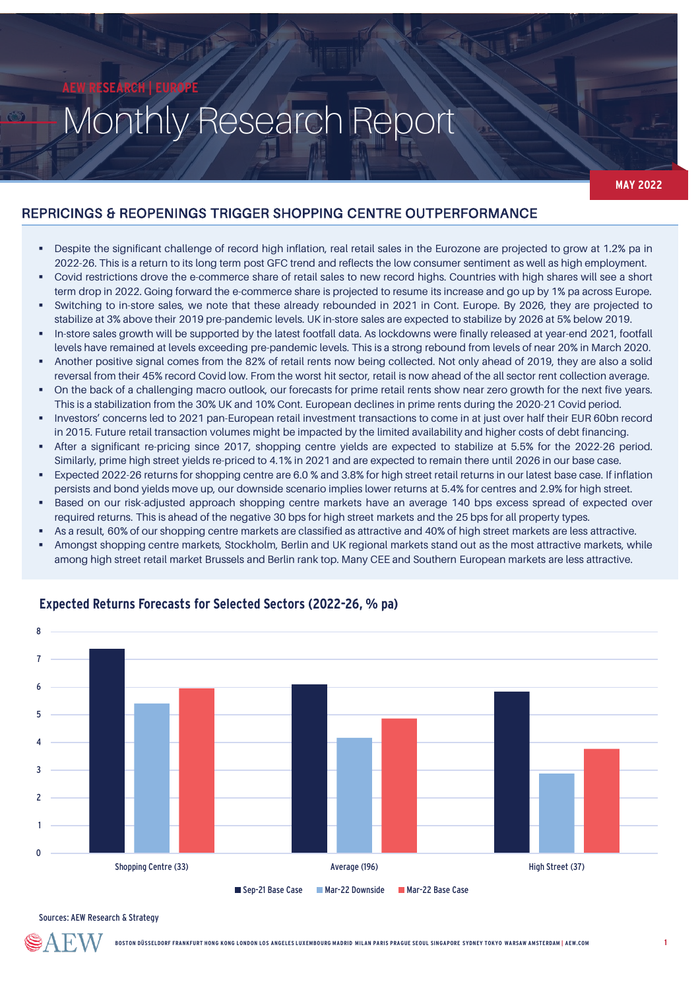# Monthly Research Report

**MAY 2022**

# REPRICINGS & REOPENINGS TRIGGER SHOPPING CENTRE OUTPERFORMANCE

- Despite the significant challenge of record high inflation, real retail sales in the Eurozone are projected to grow at 1.2% pa in 2022-26. This is a return to its long term post GFC trend and reflects the low consumer sentiment as well as high employment.
- Covid restrictions drove the e-commerce share of retail sales to new record highs. Countries with high shares will see a short term drop in 2022. Going forward the e-commerce share is projected to resume its increase and go up by 1% pa across Europe.
- Switching to in-store sales, we note that these already rebounded in 2021 in Cont. Europe. By 2026, they are projected to stabilize at 3% above their 2019 pre-pandemic levels. UK in-store sales are expected to stabilize by 2026 at 5% below 2019.
- In-store sales growth will be supported by the latest footfall data. As lockdowns were finally released at year-end 2021, footfall levels have remained at levels exceeding pre-pandemic levels. This is a strong rebound from levels of near 20% in March 2020.
- Another positive signal comes from the 82% of retail rents now being collected. Not only ahead of 2019, they are also a solid reversal from their 45% record Covid low. From the worst hit sector, retail is now ahead of the all sector rent collection average.
- On the back of a challenging macro outlook, our forecasts for prime retail rents show near zero growth for the next five years. This is a stabilization from the 30% UK and 10% Cont. European declines in prime rents during the 2020-21 Covid period.
- Investors' concerns led to 2021 pan-European retail investment transactions to come in at just over half their EUR 60bn record in 2015. Future retail transaction volumes might be impacted by the limited availability and higher costs of debt financing.
- After a significant re-pricing since 2017, shopping centre yields are expected to stabilize at 5.5% for the 2022-26 period. Similarly, prime high street yields re-priced to 4.1% in 2021 and are expected to remain there until 2026 in our base case.
- Expected 2022-26 returns for shopping centre are 6.0 % and 3.8% for high street retail returns in our latest base case. If inflation persists and bond yields move up, our downside scenario implies lower returns at 5.4% for centres and 2.9% for high street.
- Based on our risk-adjusted approach shopping centre markets have an average 140 bps excess spread of expected over required returns. This is ahead of the negative 30 bps for high street markets and the 25 bps for all property types.
- As a result, 60% of our shopping centre markets are classified as attractive and 40% of high street markets are less attractive.
- Amongst shopping centre markets, Stockholm, Berlin and UK regional markets stand out as the most attractive markets, while among high street retail market Brussels and Berlin rank top. Many CEE and Southern European markets are less attractive.



## **Expected Returns Forecasts for Selected Sectors (2022-26, % pa)**

Sources: AEW Research & Strategy

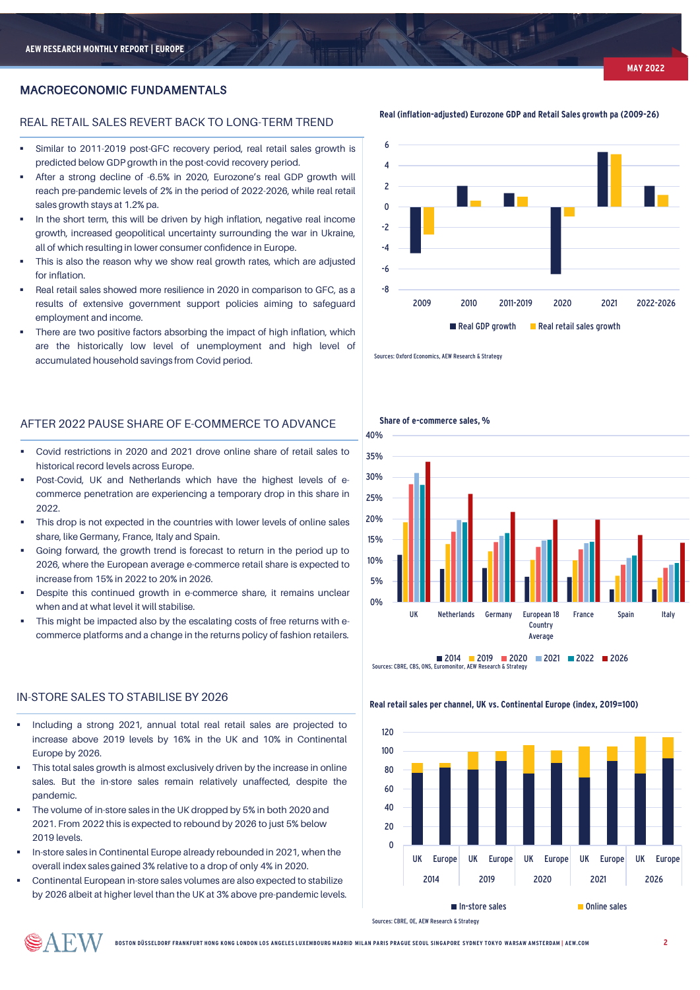### MACROECONOMIC FUNDAMENTALS

#### REAL RETAIL SALES REVERT BACK TO LONG-TERM TREND

- Similar to 2011-2019 post-GFC recovery period, real retail sales growth is predicted below GDP growth in the post-covid recovery period.
- After a strong decline of -6.5% in 2020, Eurozone's real GDP growth will reach pre-pandemic levels of 2% in the period of 2022-2026, while real retail sales growth stays at 1.2% pa.
- In the short term, this will be driven by high inflation, negative real income growth, increased geopolitical uncertainty surrounding the war in Ukraine, all of which resulting in lower consumer confidence in Europe.
- This is also the reason why we show real growth rates, which are adjusted for inflation.
- Real retail sales showed more resilience in 2020 in comparison to GFC, as a results of extensive government support policies aiming to safeguard employment and income.
- There are two positive factors absorbing the impact of high inflation, which are the historically low level of unemployment and high level of accumulated household savings from Covid period.



- Covid restrictions in 2020 and 2021 drove online share of retail sales to historical record levels across Europe.
- Post-Covid, UK and Netherlands which have the highest levels of ecommerce penetration are experiencing a temporary drop in this share in 2022.
- This drop is not expected in the countries with lower levels of online sales share, like Germany, France, Italy and Spain.
- Going forward, the growth trend is forecast to return in the period up to 2026, where the European average e-commerce retail share is expected to increase from 15% in 2022 to 20% in 2026.
- Despite this continued growth in e-commerce share, it remains unclear when and at what level it will stabilise.
- This might be impacted also by the escalating costs of free returns with ecommerce platforms and a change in the returns policy of fashion retailers.

#### IN-STORE SALES TO STABILISE BY 2026

- Including a strong 2021, annual total real retail sales are projected to increase above 2019 levels by 16% in the UK and 10% in Continental Europe by 2026.
- This total sales growth is almost exclusively driven by the increase in online sales. But the in-store sales remain relatively unaffected, despite the pandemic.
- The volume of in-store sales in the UK dropped by 5% in both 2020 and 2021. From 2022 this is expected to rebound by 2026 to just 5% below 2019 levels.
- In-store sales in Continental Europe already rebounded in 2021, when the overall index sales gained 3% relative to a drop of only 4% in 2020.
- Continental European in-store sales volumes are also expected to stabilize by 2026 albeit at higher level than the UK at 3% above pre-pandemic levels.

**Real (inflation-adjusted) Eurozone GDP and Retail Sales growth pa (2009-26)**



Sources: Oxford Economics, AEW Research & Strategy



Sources: CBRE, CBS, ONS, I

# **Real retail sales per channel, UK vs. Continental Europe (index, 2019=100)**



Sources: CBRE, OE, AEW Research & Strategy

**Share of e-commerce sales, %**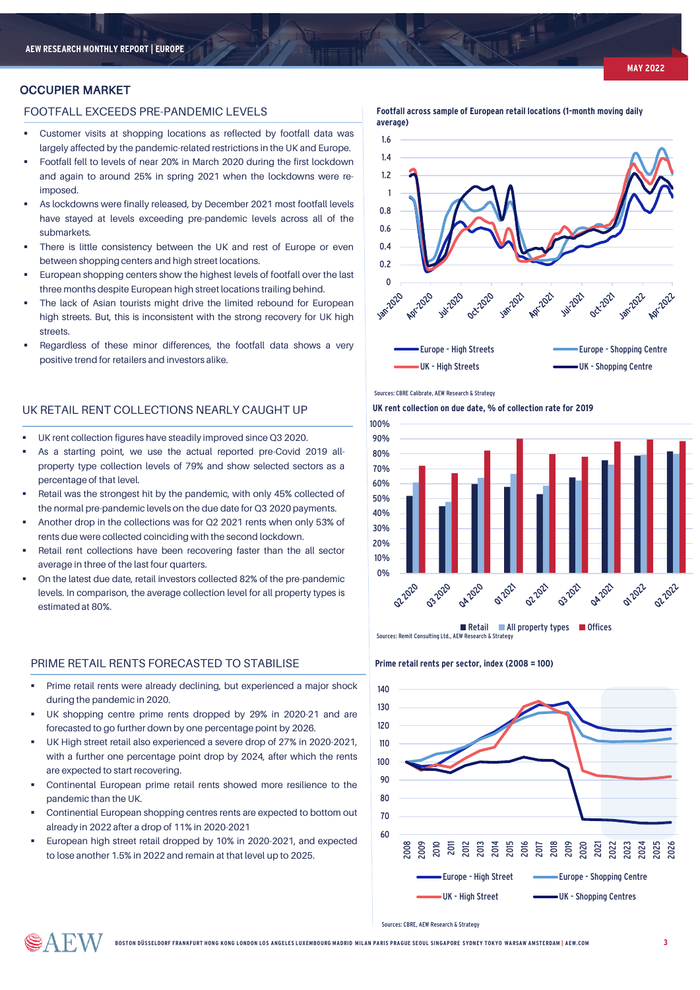#### OCCUPIER MARKET

#### FOOTFALL EXCEEDS PRE-PANDEMIC LEVELS

- Customer visits at shopping locations as reflected by footfall data was largely affected by the pandemic-related restrictions in the UK and Europe.
- Footfall fell to levels of near 20% in March 2020 during the first lockdown and again to around 25% in spring 2021 when the lockdowns were reimposed.
- As lockdowns were finally released, by December 2021 most footfall levels have stayed at levels exceeding pre-pandemic levels across all of the submarkets.
- There is little consistency between the UK and rest of Europe or even between shopping centers and high street locations.
- European shopping centers show the highest levels of footfall over the last three months despite European high street locations trailing behind.
- The lack of Asian tourists might drive the limited rebound for European high streets. But, this is inconsistent with the strong recovery for UK high streets.
- Regardless of these minor differences, the footfall data shows a very positive trend for retailers and investors alike.

### UK RETAIL RENT COLLECTIONS NEARLY CAUGHT UP

- UK rent collection figures have steadily improved since Q3 2020.
- As a starting point, we use the actual reported pre-Covid 2019 allproperty type collection levels of 79% and show selected sectors as a percentage of that level.
- Retail was the strongest hit by the pandemic, with only 45% collected of the normal pre-pandemic levels on the due date for Q3 2020 payments.
- Another drop in the collections was for Q2 2021 rents when only 53% of rents due were collected coinciding with the second lockdown.
- Retail rent collections have been recovering faster than the all sector average in three of the last four quarters.
- On the latest due date, retail investors collected 82% of the pre-pandemic levels. In comparison, the average collection level for all property types is estimated at 80%.

#### PRIME RETAIL RENTS FORECASTED TO STABILISE **Prime retail rents per sector, index (2008 = 100)**

- Prime retail rents were already declining, but experienced a major shock during the pandemic in 2020.
- UK shopping centre prime rents dropped by 29% in 2020-21 and are forecasted to go further down by one percentage point by 2026.
- UK High street retail also experienced a severe drop of 27% in 2020-2021, with a further one percentage point drop by 2024, after which the rents are expected to start recovering.
- Continental European prime retail rents showed more resilience to the pandemic than the UK.
- Continential European shopping centres rents are expected to bottom out already in 2022 after a drop of 11% in 2020-2021
- European high street retail dropped by 10% in 2020-2021, and expected to lose another 1.5% in 2022 and remain at that level up to 2025.





#### Sources: CBRE Calibrate, AEW Research & Strategy

**UK rent collection on due date, % of collection rate for 2019**





Sources: CBRE, AEW Research & Strategy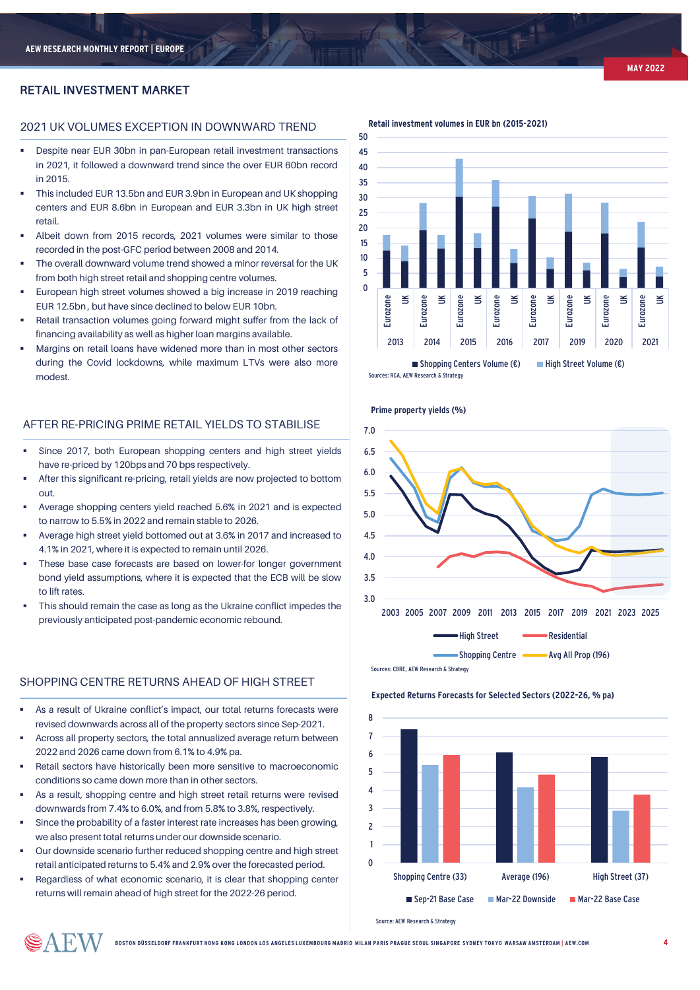#### RETAIL INVESTMENT MARKET

#### 2021 UK VOLUMES EXCEPTION IN DOWNWARD TREND

- Despite near EUR 30bn in pan-European retail investment transactions in 2021, it followed a downward trend since the over EUR 60bn record in 2015.
- This included EUR 13.5bn and EUR 3.9bn in European and UK shopping centers and EUR 8.6bn in European and EUR 3.3bn in UK high street retail.
- Albeit down from 2015 records, 2021 volumes were similar to those recorded in the post-GFC period between 2008 and 2014.
- The overall downward volume trend showed a minor reversal for the UK from both high street retail and shopping centre volumes.
- European high street volumes showed a big increase in 2019 reaching EUR 12.5bn , but have since declined to below EUR 10bn.
- Retail transaction volumes going forward might suffer from the lack of financing availability as well as higher loan margins available.
- Margins on retail loans have widened more than in most other sectors during the Covid lockdowns, while maximum LTVs were also more modest.

#### AFTER RE-PRICING PRIME RETAIL YIELDS TO STABILISE

- Since 2017, both European shopping centers and high street yields have re-priced by 120bps and 70 bps respectively.
- After this significant re-pricing, retail yields are now projected to bottom out.
- Average shopping centers yield reached 5.6% in 2021 and is expected to narrow to 5.5% in 2022 and remain stable to 2026.
- Average high street yield bottomed out at 3.6% in 2017 and increased to 4.1% in 2021, where it is expected to remain until 2026.
- These base case forecasts are based on lower-for longer government bond yield assumptions, where it is expected that the ECB will be slow to lift rates.
- This should remain the case as long as the Ukraine conflict impedes the previously anticipated post-pandemic economic rebound.

#### SHOPPING CENTRE RETURNS AHEAD OF HIGH STREET

- As a result of Ukraine conflict's impact, our total returns forecasts were revised downwards across all of the property sectors since Sep-2021.
- Across all property sectors, the total annualized average return between 2022 and 2026 came down from 6.1% to 4.9% pa.
- Retail sectors have historically been more sensitive to macroeconomic conditions so came down more than in other sectors.
- As a result, shopping centre and high street retail returns were revised downwards from 7.4% to 6.0%, and from 5.8% to 3.8%, respectively.
- Since the probability of a faster interest rate increases has been growing, we also present total returns under our downside scenario.
- Our downside scenario further reduced shopping centre and high street retail anticipated returns to 5.4% and 2.9% over the forecasted period.
- Regardless of what economic scenario, it is clear that shopping center returns will remain ahead of high street for the 2022-26 period.

**Retail investment volumes in EUR bn (2015-2021)**



Sources: RCA, AEW Research & Strategy



Sources: CBRE, AEW Research & Strategy

#### **Expected Returns Forecasts for Selected Sectors (2022-26, % pa)**



Source: AEW Research & Strategy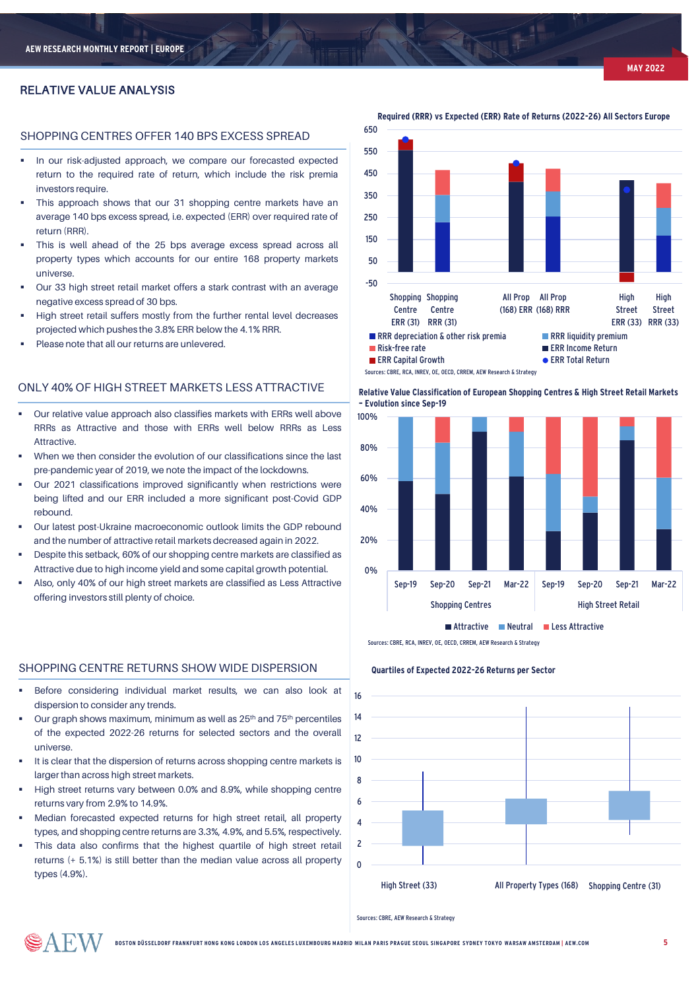#### RELATIVE VALUE ANALYSIS

#### SHOPPING CENTRES OFFER 140 BPS EXCESS SPREAD

- **In our risk-adjusted approach, we compare our forecasted expected** return to the required rate of return, which include the risk premia investors require.
- This approach shows that our 31 shopping centre markets have an average 140 bps excess spread, i.e. expected (ERR) over required rate of return (RRR).
- This is well ahead of the 25 bps average excess spread across all property types which accounts for our entire 168 property markets universe.
- Our 33 high street retail market offers a stark contrast with an average negative excess spread of 30 bps.
- High street retail suffers mostly from the further rental level decreases projected which pushes the 3.8% ERR below the 4.1% RRR.
- Please note that all our returns are unlevered.

#### ONLY 40% OF HIGH STREET MARKETS LESS ATTRACTIVE

- Our relative value approach also classifies markets with ERRs well above RRRs as Attractive and those with ERRs well below RRRs as Less **Attractive**
- When we then consider the evolution of our classifications since the last pre-pandemic year of 2019, we note the impact of the lockdowns.
- Our 2021 classifications improved significantly when restrictions were being lifted and our ERR included a more significant post-Covid GDP rebound.
- Our latest post-Ukraine macroeconomic outlook limits the GDP rebound and the number of attractive retail markets decreased again in 2022.
- Despite this setback, 60% of our shopping centre markets are classified as Attractive due to high income yield and some capital growth potential.
- Also, only 40% of our high street markets are classified as Less Attractive offering investors still plenty of choice.

#### SHOPPING CENTRE RETURNS SHOW WIDE DISPERSION

- Before considering individual market results, we can also look at dispersion to consider any trends.
- Our graph shows maximum, minimum as well as 25th and 75th percentiles of the expected 2022-26 returns for selected sectors and the overall universe.
- It is clear that the dispersion of returns across shopping centre markets is larger than across high street markets.
- High street returns vary between 0.0% and 8.9%, while shopping centre returns vary from 2.9% to 14.9%.
- Median forecasted expected returns for high street retail, all property types, and shopping centre returns are 3.3%, 4.9%, and 5.5%, respectively.
- This data also confirms that the highest quartile of high street retail returns (+ 5.1%) is still better than the median value across all property types (4.9%).

SAEW







Sources: CBRE, RCA, INREV, OF, OECD, CRREM, AEW Research & Strategy

#### **Quartiles of Expected 2022-26 Returns per Sector**



Sources: CBRE, AEW Research & Strategy

**Required (RRR) vs Expected (ERR) Rate of Returns (2022-26) All Sectors Europe**

**BOSTON DÜSSELDORF FRANKFURT HONG KONG LONDON LOS ANGELES LUXEMBOURG MADRID MILAN PARIS PRAGUE SEOUL SINGAPORE SYDNEY TOKYO WARSAW AMSTERDAM | AEW.COM**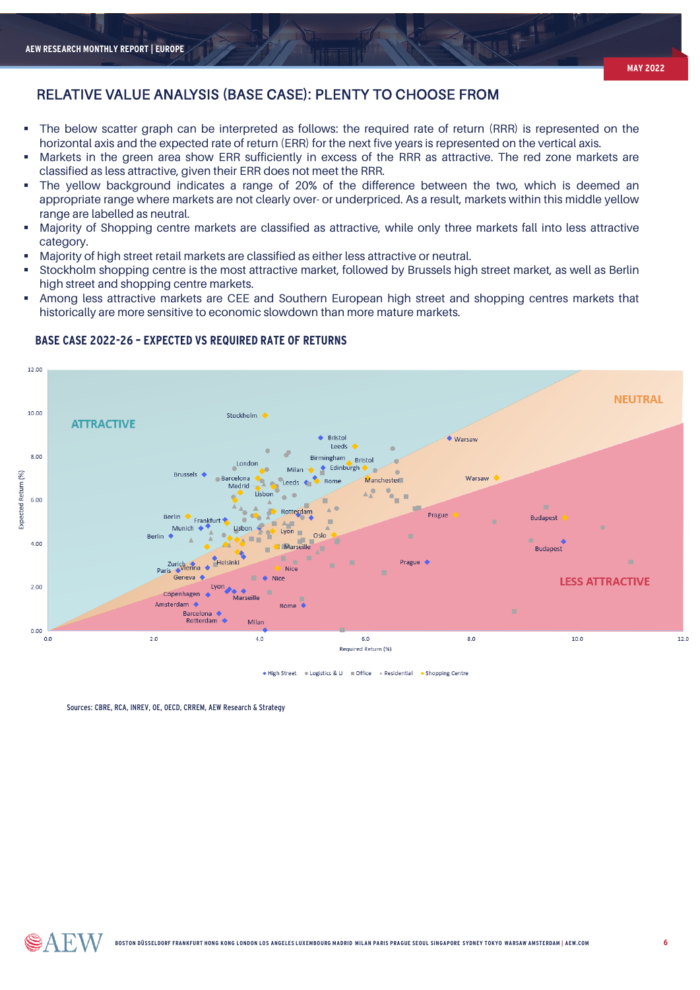- The below scatter graph can be interpreted as follows: the required rate of return (RRR) is represented on the horizontal axis and the expected rate of return (ERR) for the next five years is represented on the vertical axis.
- Markets in the green area show ERR sufficiently in excess of the RRR as attractive. The red zone markets are classified as less attractive, given their ERR does not meet the RRR.
- The yellow background indicates a range of 20% of the difference between the two, which is deemed an appropriate range where markets are not clearly over- or underpriced. As a result, markets within this middle yellow range are labelled as neutral.
- Majority of Shopping centre markets are classified as attractive, while only three markets fall into less attractive category.
- Majority of high street retail markets are classified as either less attractive or neutral.
- Stockholm shopping centre is the most attractive market, followed by Brussels high street market, as well as Berlin high street and shopping centre markets.
- Among less attractive markets are CEE and Southern European high street and shopping centres markets that historically are more sensitive to economic slowdown than more mature markets.



#### **BASE CASE 2022-26 – EXPECTED VS REQUIRED RATE OF RETURNS**

◆ High Street ● Logistics & LI ■ Office A Residential ◆ Shopping Centre

Sources: CBRE, RCA, INREV, OF, OECD, CRREM, AEW Research & Strategy

SAEW

**MAY 2022**